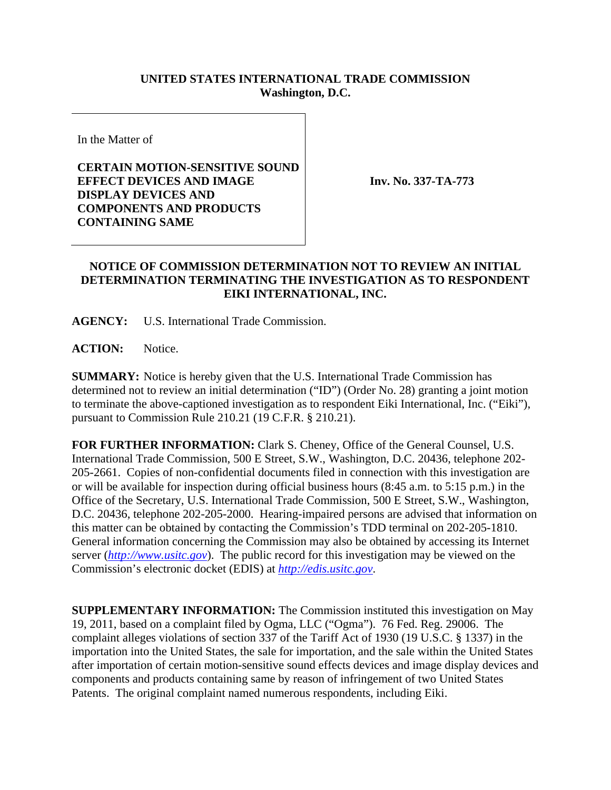## **UNITED STATES INTERNATIONAL TRADE COMMISSION Washington, D.C.**

In the Matter of

## **CERTAIN MOTION-SENSITIVE SOUND EFFECT DEVICES AND IMAGE DISPLAY DEVICES AND COMPONENTS AND PRODUCTS CONTAINING SAME**

**Inv. No. 337-TA-773**

## **NOTICE OF COMMISSION DETERMINATION NOT TO REVIEW AN INITIAL DETERMINATION TERMINATING THE INVESTIGATION AS TO RESPONDENT EIKI INTERNATIONAL, INC.**

**AGENCY:** U.S. International Trade Commission.

ACTION: Notice.

**SUMMARY:** Notice is hereby given that the U.S. International Trade Commission has determined not to review an initial determination ("ID") (Order No. 28) granting a joint motion to terminate the above-captioned investigation as to respondent Eiki International, Inc. ("Eiki"), pursuant to Commission Rule 210.21 (19 C.F.R. § 210.21).

**FOR FURTHER INFORMATION:** Clark S. Cheney, Office of the General Counsel, U.S. International Trade Commission, 500 E Street, S.W., Washington, D.C. 20436, telephone 202- 205-2661. Copies of non-confidential documents filed in connection with this investigation are or will be available for inspection during official business hours (8:45 a.m. to 5:15 p.m.) in the Office of the Secretary, U.S. International Trade Commission, 500 E Street, S.W., Washington, D.C. 20436, telephone 202-205-2000. Hearing-impaired persons are advised that information on this matter can be obtained by contacting the Commission's TDD terminal on 202-205-1810. General information concerning the Commission may also be obtained by accessing its Internet server (*http://www.usitc.gov*). The public record for this investigation may be viewed on the Commission's electronic docket (EDIS) at *http://edis.usitc.gov*.

**SUPPLEMENTARY INFORMATION:** The Commission instituted this investigation on May 19, 2011, based on a complaint filed by Ogma, LLC ("Ogma"). 76 Fed. Reg. 29006. The complaint alleges violations of section 337 of the Tariff Act of 1930 (19 U.S.C. § 1337) in the importation into the United States, the sale for importation, and the sale within the United States after importation of certain motion-sensitive sound effects devices and image display devices and components and products containing same by reason of infringement of two United States Patents. The original complaint named numerous respondents, including Eiki.